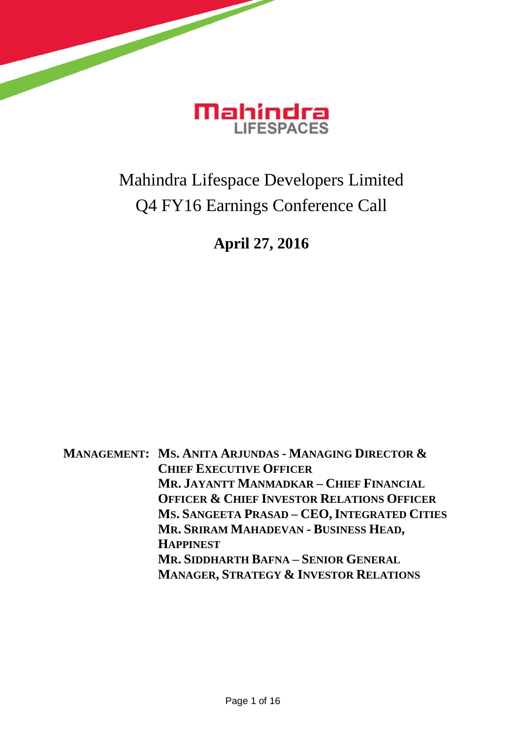

## Mahindra Lifespace Developers Limited Q4 FY16 Earnings Conference Call

## **April 27, 2016**

**MANAGEMENT: MS. ANITA ARJUNDAS - MANAGING DIRECTOR & CHIEF EXECUTIVE OFFICER MR. JAYANTT MANMADKAR – CHIEF FINANCIAL OFFICER & CHIEF INVESTOR RELATIONS OFFICER MS. SANGEETA PRASAD – CEO, INTEGRATED CITIES MR. SRIRAM MAHADEVAN - BUSINESS HEAD, HAPPINEST MR. SIDDHARTH BAFNA – SENIOR GENERAL MANAGER, STRATEGY & INVESTOR RELATIONS**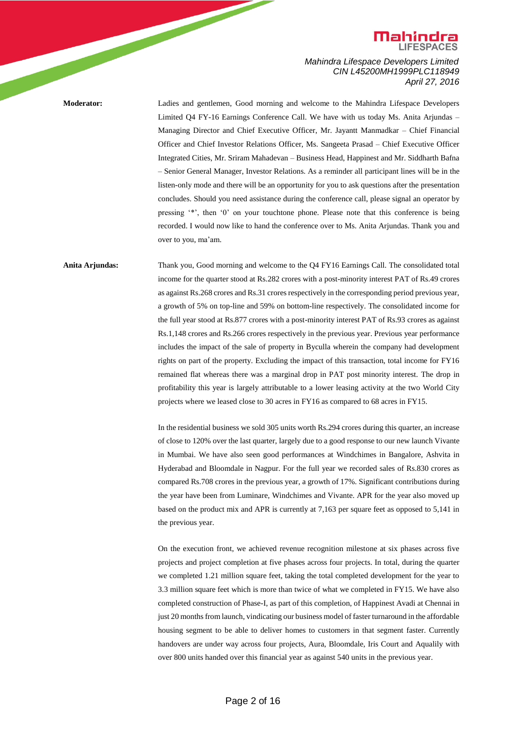

**Moderator:** Ladies and gentlemen, Good morning and welcome to the Mahindra Lifespace Developers Limited Q4 FY-16 Earnings Conference Call. We have with us today Ms. Anita Arjundas – Managing Director and Chief Executive Officer, Mr. Jayantt Manmadkar – Chief Financial Officer and Chief Investor Relations Officer, Ms. Sangeeta Prasad – Chief Executive Officer Integrated Cities, Mr. Sriram Mahadevan – Business Head, Happinest and Mr. Siddharth Bafna – Senior General Manager, Investor Relations. As a reminder all participant lines will be in the listen-only mode and there will be an opportunity for you to ask questions after the presentation concludes. Should you need assistance during the conference call, please signal an operator by pressing '\*', then '0' on your touchtone phone. Please note that this conference is being recorded. I would now like to hand the conference over to Ms. Anita Arjundas. Thank you and over to you, ma'am.

**Anita Arjundas:** Thank you, Good morning and welcome to the Q4 FY16 Earnings Call. The consolidated total income for the quarter stood at Rs.282 crores with a post-minority interest PAT of Rs.49 crores as against Rs.268 crores and Rs.31 crores respectively in the corresponding period previous year, a growth of 5% on top-line and 59% on bottom-line respectively. The consolidated income for the full year stood at Rs.877 crores with a post-minority interest PAT of Rs.93 crores as against Rs.1,148 crores and Rs.266 crores respectively in the previous year. Previous year performance includes the impact of the sale of property in Byculla wherein the company had development rights on part of the property. Excluding the impact of this transaction, total income for FY16 remained flat whereas there was a marginal drop in PAT post minority interest. The drop in profitability this year is largely attributable to a lower leasing activity at the two World City projects where we leased close to 30 acres in FY16 as compared to 68 acres in FY15.

> In the residential business we sold 305 units worth Rs.294 crores during this quarter, an increase of close to 120% over the last quarter, largely due to a good response to our new launch Vivante in Mumbai. We have also seen good performances at Windchimes in Bangalore, Ashvita in Hyderabad and Bloomdale in Nagpur. For the full year we recorded sales of Rs.830 crores as compared Rs.708 crores in the previous year, a growth of 17%. Significant contributions during the year have been from Luminare, Windchimes and Vivante. APR for the year also moved up based on the product mix and APR is currently at 7,163 per square feet as opposed to 5,141 in the previous year.

> On the execution front, we achieved revenue recognition milestone at six phases across five projects and project completion at five phases across four projects. In total, during the quarter we completed 1.21 million square feet, taking the total completed development for the year to 3.3 million square feet which is more than twice of what we completed in FY15. We have also completed construction of Phase-I, as part of this completion, of Happinest Avadi at Chennai in just 20 months from launch, vindicating our business model of faster turnaround in the affordable housing segment to be able to deliver homes to customers in that segment faster. Currently handovers are under way across four projects, Aura, Bloomdale, Iris Court and Aqualily with over 800 units handed over this financial year as against 540 units in the previous year.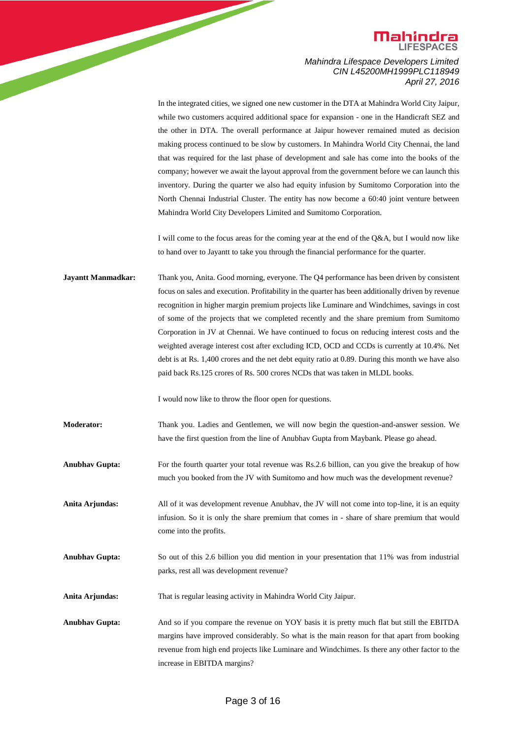

> In the integrated cities, we signed one new customer in the DTA at Mahindra World City Jaipur, while two customers acquired additional space for expansion - one in the Handicraft SEZ and the other in DTA. The overall performance at Jaipur however remained muted as decision making process continued to be slow by customers. In Mahindra World City Chennai, the land that was required for the last phase of development and sale has come into the books of the company; however we await the layout approval from the government before we can launch this inventory. During the quarter we also had equity infusion by Sumitomo Corporation into the North Chennai Industrial Cluster. The entity has now become a 60:40 joint venture between Mahindra World City Developers Limited and Sumitomo Corporation.

> I will come to the focus areas for the coming year at the end of the Q&A, but I would now like to hand over to Jayantt to take you through the financial performance for the quarter.

**Jayantt Manmadkar:** Thank you, Anita. Good morning, everyone. The Q4 performance has been driven by consistent focus on sales and execution. Profitability in the quarter has been additionally driven by revenue recognition in higher margin premium projects like Luminare and Windchimes, savings in cost of some of the projects that we completed recently and the share premium from Sumitomo Corporation in JV at Chennai. We have continued to focus on reducing interest costs and the weighted average interest cost after excluding ICD, OCD and CCDs is currently at 10.4%. Net debt is at Rs. 1,400 crores and the net debt equity ratio at 0.89. During this month we have also paid back Rs.125 crores of Rs. 500 crores NCDs that was taken in MLDL books.

I would now like to throw the floor open for questions.

**Moderator:** Thank you. Ladies and Gentlemen, we will now begin the question-and-answer session. We have the first question from the line of Anubhav Gupta from Maybank. Please go ahead.

**Anubhav Gupta:** For the fourth quarter your total revenue was Rs.2.6 billion, can you give the breakup of how much you booked from the JV with Sumitomo and how much was the development revenue?

**Anita Arjundas:** All of it was development revenue Anubhav, the JV will not come into top-line, it is an equity infusion. So it is only the share premium that comes in - share of share premium that would come into the profits.

**Anubhav Gupta:** So out of this 2.6 billion you did mention in your presentation that 11% was from industrial parks, rest all was development revenue?

**Anita Arjundas:** That is regular leasing activity in Mahindra World City Jaipur.

**Anubhav Gupta:** And so if you compare the revenue on YOY basis it is pretty much flat but still the EBITDA margins have improved considerably. So what is the main reason for that apart from booking revenue from high end projects like Luminare and Windchimes. Is there any other factor to the increase in EBITDA margins?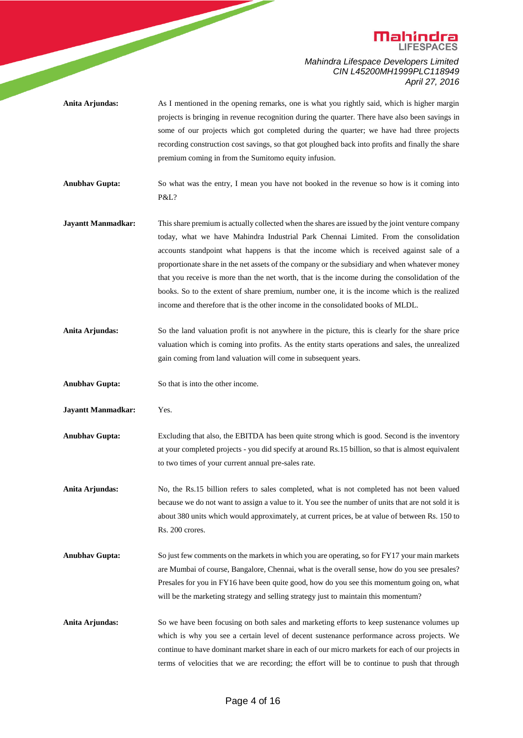

**Anita Arjundas:** As I mentioned in the opening remarks, one is what you rightly said, which is higher margin projects is bringing in revenue recognition during the quarter. There have also been savings in some of our projects which got completed during the quarter; we have had three projects recording construction cost savings, so that got ploughed back into profits and finally the share premium coming in from the Sumitomo equity infusion.

**Anubhav Gupta:** So what was the entry, I mean you have not booked in the revenue so how is it coming into P&L?

- **Jayantt Manmadkar:** This share premium is actually collected when the shares are issued by the joint venture company today, what we have Mahindra Industrial Park Chennai Limited. From the consolidation accounts standpoint what happens is that the income which is received against sale of a proportionate share in the net assets of the company or the subsidiary and when whatever money that you receive is more than the net worth, that is the income during the consolidation of the books. So to the extent of share premium, number one, it is the income which is the realized income and therefore that is the other income in the consolidated books of MLDL.
- **Anita Arjundas:** So the land valuation profit is not anywhere in the picture, this is clearly for the share price valuation which is coming into profits. As the entity starts operations and sales, the unrealized gain coming from land valuation will come in subsequent years.
- **Anubhav Gupta:** So that is into the other income.
- **Jayantt Manmadkar:** Yes.
- **Anubhav Gupta:** Excluding that also, the EBITDA has been quite strong which is good. Second is the inventory at your completed projects - you did specify at around Rs.15 billion, so that is almost equivalent to two times of your current annual pre-sales rate.
- **Anita Arjundas:** No, the Rs.15 billion refers to sales completed, what is not completed has not been valued because we do not want to assign a value to it. You see the number of units that are not sold it is about 380 units which would approximately, at current prices, be at value of between Rs. 150 to Rs. 200 crores.
- **Anubhav Gupta:** So just few comments on the markets in which you are operating, so for FY17 your main markets are Mumbai of course, Bangalore, Chennai, what is the overall sense, how do you see presales? Presales for you in FY16 have been quite good, how do you see this momentum going on, what will be the marketing strategy and selling strategy just to maintain this momentum?
- Anita Arjundas: So we have been focusing on both sales and marketing efforts to keep sustenance volumes up which is why you see a certain level of decent sustenance performance across projects. We continue to have dominant market share in each of our micro markets for each of our projects in terms of velocities that we are recording; the effort will be to continue to push that through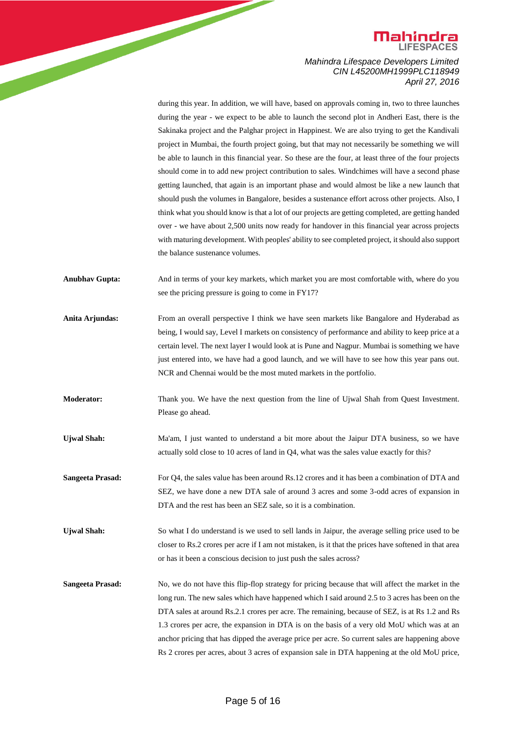

> during this year. In addition, we will have, based on approvals coming in, two to three launches during the year - we expect to be able to launch the second plot in Andheri East, there is the Sakinaka project and the Palghar project in Happinest. We are also trying to get the Kandivali project in Mumbai, the fourth project going, but that may not necessarily be something we will be able to launch in this financial year. So these are the four, at least three of the four projects should come in to add new project contribution to sales. Windchimes will have a second phase getting launched, that again is an important phase and would almost be like a new launch that should push the volumes in Bangalore, besides a sustenance effort across other projects. Also, I think what you should know is that a lot of our projects are getting completed, are getting handed over - we have about 2,500 units now ready for handover in this financial year across projects with maturing development. With peoples' ability to see completed project, itshould also support the balance sustenance volumes.

- **Anubhav Gupta:** And in terms of your key markets, which market you are most comfortable with, where do you see the pricing pressure is going to come in FY17?
- Anita Arjundas: From an overall perspective I think we have seen markets like Bangalore and Hyderabad as being, I would say, Level I markets on consistency of performance and ability to keep price at a certain level. The next layer I would look at is Pune and Nagpur. Mumbai is something we have just entered into, we have had a good launch, and we will have to see how this year pans out. NCR and Chennai would be the most muted markets in the portfolio.
- **Moderator:** Thank you. We have the next question from the line of Ujwal Shah from Quest Investment. Please go ahead.
- Ujwal Shah: Ma'am, I just wanted to understand a bit more about the Jaipur DTA business, so we have actually sold close to 10 acres of land in Q4, what was the sales value exactly for this?
- **Sangeeta Prasad:** For Q4, the sales value has been around Rs.12 crores and it has been a combination of DTA and SEZ, we have done a new DTA sale of around 3 acres and some 3-odd acres of expansion in DTA and the rest has been an SEZ sale, so it is a combination.
- **Ujwal Shah:** So what I do understand is we used to sell lands in Jaipur, the average selling price used to be closer to Rs.2 crores per acre if I am not mistaken, is it that the prices have softened in that area or has it been a conscious decision to just push the sales across?
- **Sangeeta Prasad:** No, we do not have this flip-flop strategy for pricing because that will affect the market in the long run. The new sales which have happened which I said around 2.5 to 3 acres has been on the DTA sales at around Rs.2.1 crores per acre. The remaining, because of SEZ, is at Rs 1.2 and Rs 1.3 crores per acre, the expansion in DTA is on the basis of a very old MoU which was at an anchor pricing that has dipped the average price per acre. So current sales are happening above Rs 2 crores per acres, about 3 acres of expansion sale in DTA happening at the old MoU price,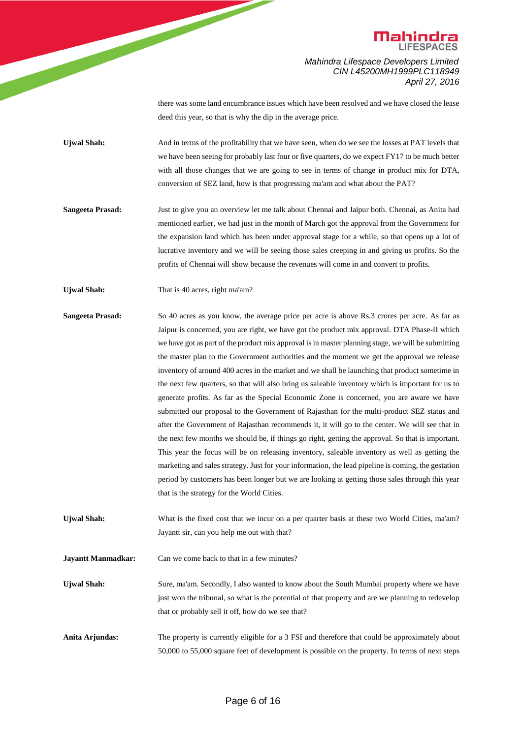

> there was some land encumbrance issues which have been resolved and we have closed the lease deed this year, so that is why the dip in the average price.

Ujwal Shah: And in terms of the profitability that we have seen, when do we see the losses at PAT levels that we have been seeing for probably last four or five quarters, do we expect FY17 to be much better with all those changes that we are going to see in terms of change in product mix for DTA, conversion of SEZ land, how is that progressing ma'am and what about the PAT?

- **Sangeeta Prasad:** Just to give you an overview let me talk about Chennai and Jaipur both. Chennai, as Anita had mentioned earlier, we had just in the month of March got the approval from the Government for the expansion land which has been under approval stage for a while, so that opens up a lot of lucrative inventory and we will be seeing those sales creeping in and giving us profits. So the profits of Chennai will show because the revenues will come in and convert to profits.
- Ujwal Shah: That is 40 acres, right ma'am?
- **Sangeeta Prasad:** So 40 acres as you know, the average price per acre is above Rs.3 crores per acre. As far as Jaipur is concerned, you are right, we have got the product mix approval. DTA Phase-II which we have got as part of the product mix approval is in master planning stage, we will be submitting the master plan to the Government authorities and the moment we get the approval we release inventory of around 400 acres in the market and we shall be launching that product sometime in the next few quarters, so that will also bring us saleable inventory which is important for us to generate profits. As far as the Special Economic Zone is concerned, you are aware we have submitted our proposal to the Government of Rajasthan for the multi-product SEZ status and after the Government of Rajasthan recommends it, it will go to the center. We will see that in the next few months we should be, if things go right, getting the approval. So that is important. This year the focus will be on releasing inventory, saleable inventory as well as getting the marketing and sales strategy. Just for your information, the lead pipeline is coming, the gestation period by customers has been longer but we are looking at getting those sales through this year that is the strategy for the World Cities.
- Ujwal Shah: What is the fixed cost that we incur on a per quarter basis at these two World Cities, ma'am? Jayantt sir, can you help me out with that?

**Jayantt Manmadkar:** Can we come back to that in a few minutes?

- Ujwal Shah: Sure, ma'am. Secondly, I also wanted to know about the South Mumbai property where we have just won the tribunal, so what is the potential of that property and are we planning to redevelop that or probably sell it off, how do we see that?
- **Anita Arjundas:** The property is currently eligible for a 3 FSI and therefore that could be approximately about 50,000 to 55,000 square feet of development is possible on the property. In terms of next steps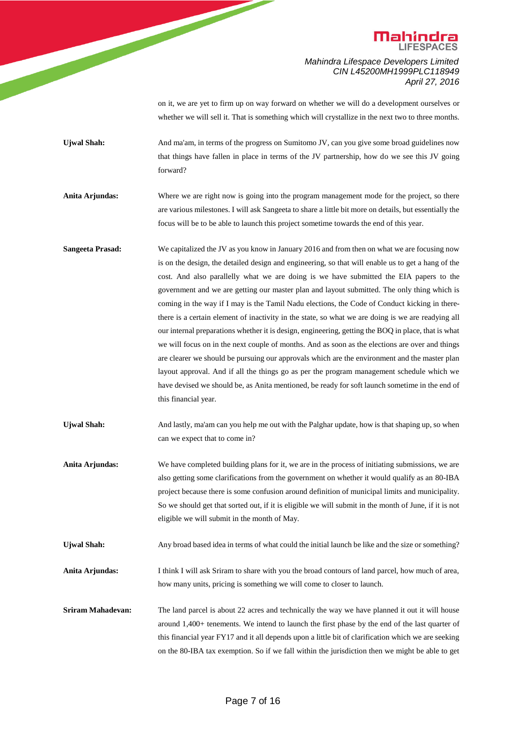

> on it, we are yet to firm up on way forward on whether we will do a development ourselves or whether we will sell it. That is something which will crystallize in the next two to three months.

**Ujwal Shah:** And ma'am, in terms of the progress on Sumitomo JV, can you give some broad guidelines now that things have fallen in place in terms of the JV partnership, how do we see this JV going forward?

Anita Arjundas: Where we are right now is going into the program management mode for the project, so there are various milestones. I will ask Sangeeta to share a little bit more on details, but essentially the focus will be to be able to launch this project sometime towards the end of this year.

**Sangeeta Prasad:** We capitalized the JV as you know in January 2016 and from then on what we are focusing now is on the design, the detailed design and engineering, so that will enable us to get a hang of the cost. And also parallelly what we are doing is we have submitted the EIA papers to the government and we are getting our master plan and layout submitted. The only thing which is coming in the way if I may is the Tamil Nadu elections, the Code of Conduct kicking in therethere is a certain element of inactivity in the state, so what we are doing is we are readying all our internal preparations whether it is design, engineering, getting the BOQ in place, that is what we will focus on in the next couple of months. And as soon as the elections are over and things are clearer we should be pursuing our approvals which are the environment and the master plan layout approval. And if all the things go as per the program management schedule which we have devised we should be, as Anita mentioned, be ready for soft launch sometime in the end of this financial year.

Ujwal Shah: And lastly, ma'am can you help me out with the Palghar update, how is that shaping up, so when can we expect that to come in?

Anita Arjundas: We have completed building plans for it, we are in the process of initiating submissions, we are also getting some clarifications from the government on whether it would qualify as an 80-IBA project because there is some confusion around definition of municipal limits and municipality. So we should get that sorted out, if it is eligible we will submit in the month of June, if it is not eligible we will submit in the month of May.

Ujwal Shah: Any broad based idea in terms of what could the initial launch be like and the size or something?

**Anita Arjundas:** I think I will ask Sriram to share with you the broad contours of land parcel, how much of area, how many units, pricing is something we will come to closer to launch.

**Sriram Mahadevan:** The land parcel is about 22 acres and technically the way we have planned it out it will house around 1,400+ tenements. We intend to launch the first phase by the end of the last quarter of this financial year FY17 and it all depends upon a little bit of clarification which we are seeking on the 80-IBA tax exemption. So if we fall within the jurisdiction then we might be able to get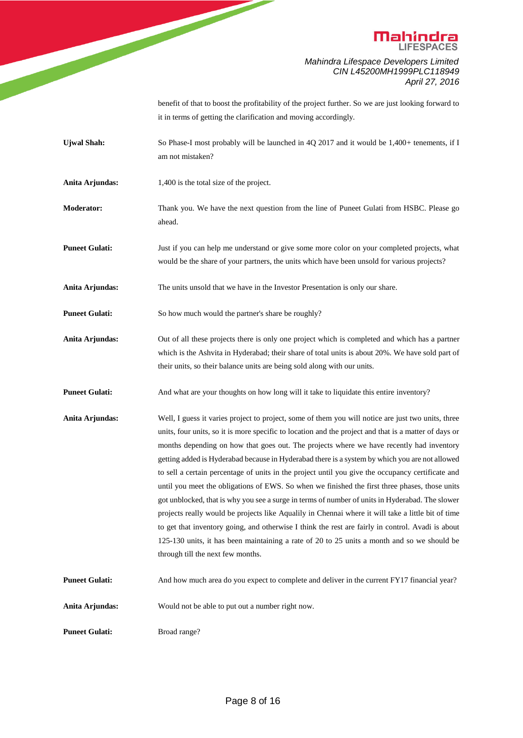

> benefit of that to boost the profitability of the project further. So we are just looking forward to it in terms of getting the clarification and moving accordingly.

- **Ujwal Shah:** So Phase-I most probably will be launched in 4Q 2017 and it would be 1,400+ tenements, if I am not mistaken?
- Anita Arjundas: 1,400 is the total size of the project.
- **Moderator:** Thank you. We have the next question from the line of Puneet Gulati from HSBC. Please go ahead.
- **Puneet Gulati:** Just if you can help me understand or give some more color on your completed projects, what would be the share of your partners, the units which have been unsold for various projects?
- **Anita Arjundas:** The units unsold that we have in the Investor Presentation is only our share.

**Puneet Gulati:** So how much would the partner's share be roughly?

- **Anita Arjundas:** Out of all these projects there is only one project which is completed and which has a partner which is the Ashvita in Hyderabad; their share of total units is about 20%. We have sold part of their units, so their balance units are being sold along with our units.
- **Puneet Gulati:** And what are your thoughts on how long will it take to liquidate this entire inventory?
- **Anita Arjundas:** Well, I guess it varies project to project, some of them you will notice are just two units, three units, four units, so it is more specific to location and the project and that is a matter of days or months depending on how that goes out. The projects where we have recently had inventory getting added is Hyderabad because in Hyderabad there is a system by which you are not allowed to sell a certain percentage of units in the project until you give the occupancy certificate and until you meet the obligations of EWS. So when we finished the first three phases, those units got unblocked, that is why you see a surge in terms of number of units in Hyderabad. The slower projects really would be projects like Aqualily in Chennai where it will take a little bit of time to get that inventory going, and otherwise I think the rest are fairly in control. Avadi is about 125-130 units, it has been maintaining a rate of 20 to 25 units a month and so we should be through till the next few months.
- **Puneet Gulati:** And how much area do you expect to complete and deliver in the current FY17 financial year?

**Anita Arjundas:** Would not be able to put out a number right now.

**Puneet Gulati:** Broad range?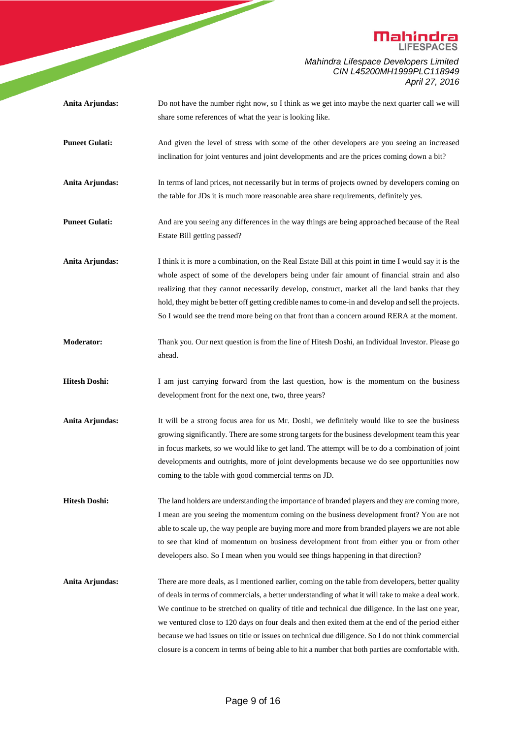

Page 9 of 16 share some references of what the year is looking like. **Puneet Gulati:** And given the level of stress with some of the other developers are you seeing an increased inclination for joint ventures and joint developments and are the prices coming down a bit? **Anita Arjundas:** In terms of land prices, not necessarily but in terms of projects owned by developers coming on the table for JDs it is much more reasonable area share requirements, definitely yes. **Puneet Gulati:** And are you seeing any differences in the way things are being approached because of the Real Estate Bill getting passed? **Anita Arjundas:** I think it is more a combination, on the Real Estate Bill at this point in time I would say it is the whole aspect of some of the developers being under fair amount of financial strain and also realizing that they cannot necessarily develop, construct, market all the land banks that they hold, they might be better off getting credible names to come-in and develop and sell the projects. So I would see the trend more being on that front than a concern around RERA at the moment. **Moderator:** Thank you. Our next question is from the line of Hitesh Doshi, an Individual Investor. Please go ahead. **Hitesh Doshi:** I am just carrying forward from the last question, how is the momentum on the business development front for the next one, two, three years? **Anita Arjundas:** It will be a strong focus area for us Mr. Doshi, we definitely would like to see the business growing significantly. There are some strong targets for the business development team this year in focus markets, so we would like to get land. The attempt will be to do a combination of joint developments and outrights, more of joint developments because we do see opportunities now coming to the table with good commercial terms on JD. **Hitesh Doshi:** The land holders are understanding the importance of branded players and they are coming more, I mean are you seeing the momentum coming on the business development front? You are not able to scale up, the way people are buying more and more from branded players we are not able to see that kind of momentum on business development front from either you or from other developers also. So I mean when you would see things happening in that direction? Anita Arjundas: There are more deals, as I mentioned earlier, coming on the table from developers, better quality of deals in terms of commercials, a better understanding of what it will take to make a deal work. We continue to be stretched on quality of title and technical due diligence. In the last one year, we ventured close to 120 days on four deals and then exited them at the end of the period either because we had issues on title or issues on technical due diligence. So I do not think commercial closure is a concern in terms of being able to hit a number that both parties are comfortable with.

**Anita Arjundas:** Do not have the number right now, so I think as we get into maybe the next quarter call we will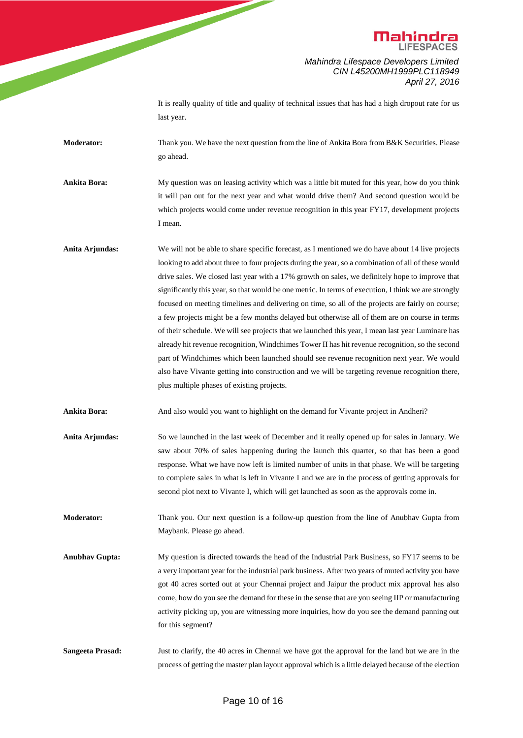

> It is really quality of title and quality of technical issues that has had a high dropout rate for us last year.

**Moderator:** Thank you. We have the next question from the line of Ankita Bora from B&K Securities. Please go ahead.

**Ankita Bora:** My question was on leasing activity which was a little bit muted for this year, how do you think it will pan out for the next year and what would drive them? And second question would be which projects would come under revenue recognition in this year FY17, development projects I mean.

**Anita Arjundas:** We will not be able to share specific forecast, as I mentioned we do have about 14 live projects looking to add about three to four projects during the year, so a combination of all of these would drive sales. We closed last year with a 17% growth on sales, we definitely hope to improve that significantly this year, so that would be one metric. In terms of execution, I think we are strongly focused on meeting timelines and delivering on time, so all of the projects are fairly on course; a few projects might be a few months delayed but otherwise all of them are on course in terms of their schedule. We will see projects that we launched this year, I mean last year Luminare has already hit revenue recognition, Windchimes Tower II has hit revenue recognition, so the second part of Windchimes which been launched should see revenue recognition next year. We would also have Vivante getting into construction and we will be targeting revenue recognition there, plus multiple phases of existing projects.

**Ankita Bora:** And also would you want to highlight on the demand for Vivante project in Andheri?

**Anita Arjundas:** So we launched in the last week of December and it really opened up for sales in January. We saw about 70% of sales happening during the launch this quarter, so that has been a good response. What we have now left is limited number of units in that phase. We will be targeting to complete sales in what is left in Vivante I and we are in the process of getting approvals for second plot next to Vivante I, which will get launched as soon as the approvals come in.

**Moderator:** Thank you. Our next question is a follow-up question from the line of Anubhav Gupta from Maybank. Please go ahead.

- **Anubhav Gupta:** My question is directed towards the head of the Industrial Park Business, so FY17 seems to be a very important year for the industrial park business. After two years of muted activity you have got 40 acres sorted out at your Chennai project and Jaipur the product mix approval has also come, how do you see the demand for these in the sense that are you seeing IIP or manufacturing activity picking up, you are witnessing more inquiries, how do you see the demand panning out for this segment?
- **Sangeeta Prasad:** Just to clarify, the 40 acres in Chennai we have got the approval for the land but we are in the process of getting the master plan layout approval which is a little delayed because of the election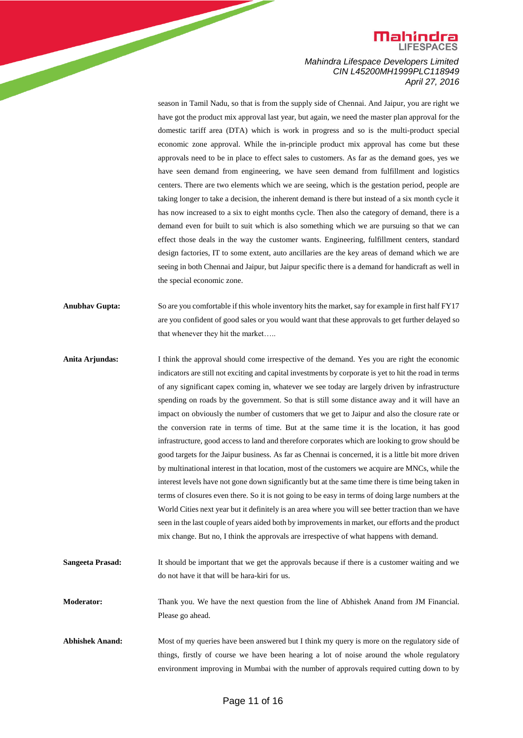

> season in Tamil Nadu, so that is from the supply side of Chennai. And Jaipur, you are right we have got the product mix approval last year, but again, we need the master plan approval for the domestic tariff area (DTA) which is work in progress and so is the multi-product special economic zone approval. While the in-principle product mix approval has come but these approvals need to be in place to effect sales to customers. As far as the demand goes, yes we have seen demand from engineering, we have seen demand from fulfillment and logistics centers. There are two elements which we are seeing, which is the gestation period, people are taking longer to take a decision, the inherent demand is there but instead of a six month cycle it has now increased to a six to eight months cycle. Then also the category of demand, there is a demand even for built to suit which is also something which we are pursuing so that we can effect those deals in the way the customer wants. Engineering, fulfillment centers, standard design factories, IT to some extent, auto ancillaries are the key areas of demand which we are seeing in both Chennai and Jaipur, but Jaipur specific there is a demand for handicraft as well in the special economic zone.

**Anubhav Gupta:** So are you comfortable if this whole inventory hits the market, say for example in first half FY17 are you confident of good sales or you would want that these approvals to get further delayed so that whenever they hit the market…..

- **Anita Arjundas:** I think the approval should come irrespective of the demand. Yes you are right the economic indicators are still not exciting and capital investments by corporate is yet to hit the road in terms of any significant capex coming in, whatever we see today are largely driven by infrastructure spending on roads by the government. So that is still some distance away and it will have an impact on obviously the number of customers that we get to Jaipur and also the closure rate or the conversion rate in terms of time. But at the same time it is the location, it has good infrastructure, good access to land and therefore corporates which are looking to grow should be good targets for the Jaipur business. As far as Chennai is concerned, it is a little bit more driven by multinational interest in that location, most of the customers we acquire are MNCs, while the interest levels have not gone down significantly but at the same time there is time being taken in terms of closures even there. So it is not going to be easy in terms of doing large numbers at the World Cities next year but it definitely is an area where you will see better traction than we have seen in the last couple of years aided both by improvements in market, our efforts and the product mix change. But no, I think the approvals are irrespective of what happens with demand.
- **Sangeeta Prasad:** It should be important that we get the approvals because if there is a customer waiting and we do not have it that will be hara-kiri for us.

**Moderator:** Thank you. We have the next question from the line of Abhishek Anand from JM Financial. Please go ahead.

**Abhishek Anand:** Most of my queries have been answered but I think my query is more on the regulatory side of things, firstly of course we have been hearing a lot of noise around the whole regulatory environment improving in Mumbai with the number of approvals required cutting down to by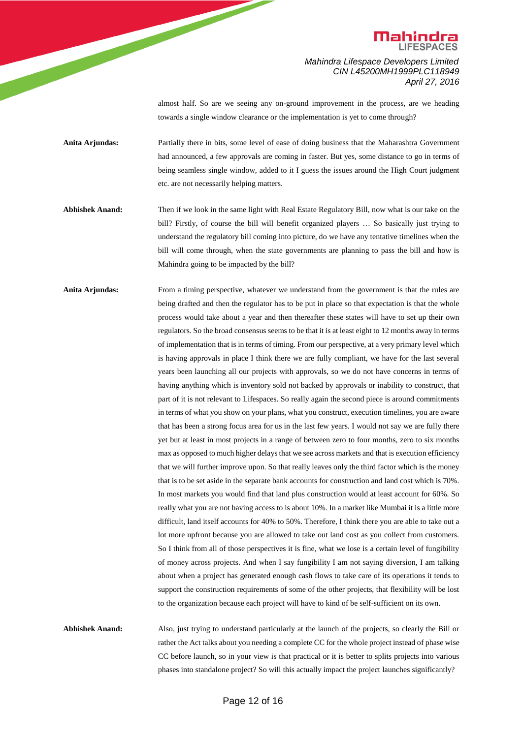

> almost half. So are we seeing any on-ground improvement in the process, are we heading towards a single window clearance or the implementation is yet to come through?

**Anita Arjundas:** Partially there in bits, some level of ease of doing business that the Maharashtra Government had announced, a few approvals are coming in faster. But yes, some distance to go in terms of being seamless single window, added to it I guess the issues around the High Court judgment etc. are not necessarily helping matters.

**Abhishek Anand:** Then if we look in the same light with Real Estate Regulatory Bill, now what is our take on the bill? Firstly, of course the bill will benefit organized players … So basically just trying to understand the regulatory bill coming into picture, do we have any tentative timelines when the bill will come through, when the state governments are planning to pass the bill and how is Mahindra going to be impacted by the bill?

Anita Arjundas: From a timing perspective, whatever we understand from the government is that the rules are being drafted and then the regulator has to be put in place so that expectation is that the whole process would take about a year and then thereafter these states will have to set up their own regulators. So the broad consensus seems to be that it is at least eight to 12 months away in terms of implementation that is in terms of timing. From our perspective, at a very primary level which is having approvals in place I think there we are fully compliant, we have for the last several years been launching all our projects with approvals, so we do not have concerns in terms of having anything which is inventory sold not backed by approvals or inability to construct, that part of it is not relevant to Lifespaces. So really again the second piece is around commitments in terms of what you show on your plans, what you construct, execution timelines, you are aware that has been a strong focus area for us in the last few years. I would not say we are fully there yet but at least in most projects in a range of between zero to four months, zero to six months max as opposed to much higher delays that we see across markets and that is execution efficiency that we will further improve upon. So that really leaves only the third factor which is the money that is to be set aside in the separate bank accounts for construction and land cost which is 70%. In most markets you would find that land plus construction would at least account for 60%. So really what you are not having access to is about 10%. In a market like Mumbai it is a little more difficult, land itself accounts for 40% to 50%. Therefore, I think there you are able to take out a lot more upfront because you are allowed to take out land cost as you collect from customers. So I think from all of those perspectives it is fine, what we lose is a certain level of fungibility of money across projects. And when I say fungibility I am not saying diversion, I am talking about when a project has generated enough cash flows to take care of its operations it tends to support the construction requirements of some of the other projects, that flexibility will be lost to the organization because each project will have to kind of be self-sufficient on its own.

**Abhishek Anand:** Also, just trying to understand particularly at the launch of the projects, so clearly the Bill or rather the Act talks about you needing a complete CC for the whole project instead of phase wise CC before launch, so in your view is that practical or it is better to splits projects into various phases into standalone project? So will this actually impact the project launches significantly?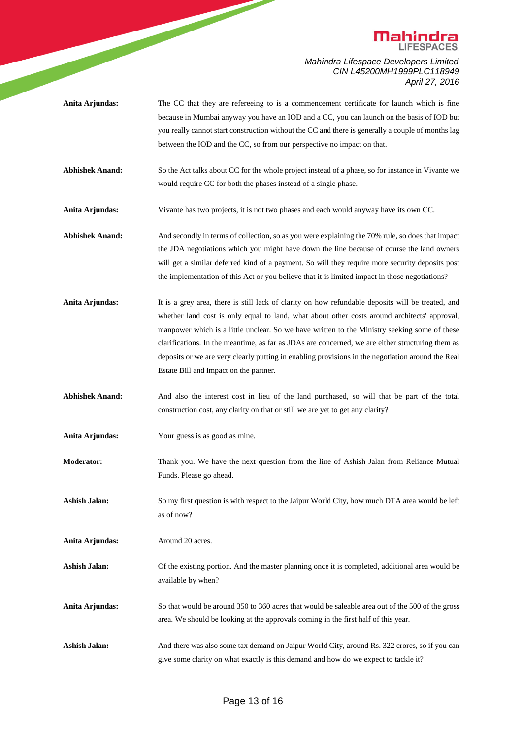

- Anita Arjundas: The CC that they are refereeing to is a commencement certificate for launch which is fine because in Mumbai anyway you have an IOD and a CC, you can launch on the basis of IOD but you really cannot start construction without the CC and there is generally a couple of months lag between the IOD and the CC, so from our perspective no impact on that.
- **Abhishek Anand:** So the Act talks about CC for the whole project instead of a phase, so for instance in Vivante we would require CC for both the phases instead of a single phase.
- **Anita Arjundas:** Vivante has two projects, it is not two phases and each would anyway have its own CC.
- **Abhishek Anand:** And secondly in terms of collection, so as you were explaining the 70% rule, so does that impact the JDA negotiations which you might have down the line because of course the land owners will get a similar deferred kind of a payment. So will they require more security deposits post the implementation of this Act or you believe that it is limited impact in those negotiations?
- **Anita Arjundas:** It is a grey area, there is still lack of clarity on how refundable deposits will be treated, and whether land cost is only equal to land, what about other costs around architects' approval, manpower which is a little unclear. So we have written to the Ministry seeking some of these clarifications. In the meantime, as far as JDAs are concerned, we are either structuring them as deposits or we are very clearly putting in enabling provisions in the negotiation around the Real Estate Bill and impact on the partner.
- **Abhishek Anand:** And also the interest cost in lieu of the land purchased, so will that be part of the total construction cost, any clarity on that or still we are yet to get any clarity?
- **Anita Arjundas:** Your guess is as good as mine.
- **Moderator:** Thank you. We have the next question from the line of Ashish Jalan from Reliance Mutual Funds. Please go ahead.
- **Ashish Jalan:** So my first question is with respect to the Jaipur World City, how much DTA area would be left as of now?
- **Anita Arjundas:** Around 20 acres.
- **Ashish Jalan:** Of the existing portion. And the master planning once it is completed, additional area would be available by when?
- Anita Arjundas: So that would be around 350 to 360 acres that would be saleable area out of the 500 of the gross area. We should be looking at the approvals coming in the first half of this year.
- Ashish Jalan: And there was also some tax demand on Jaipur World City, around Rs. 322 crores, so if you can give some clarity on what exactly is this demand and how do we expect to tackle it?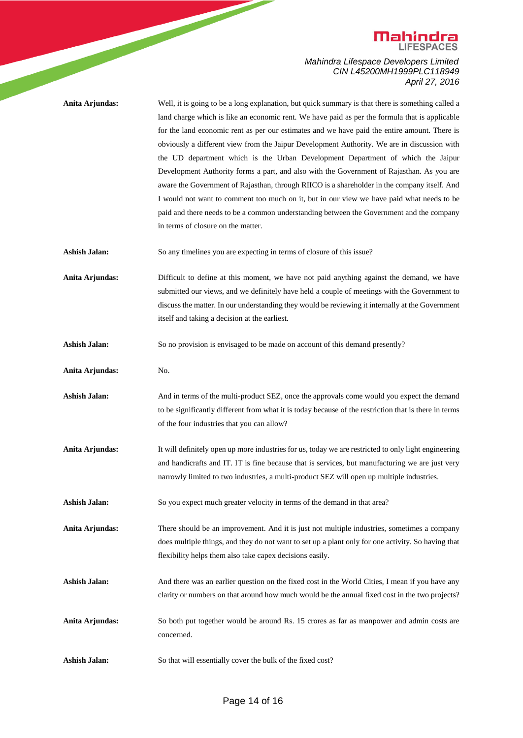

|                      | <b>Mahindra</b>                                                                                                                                                                                                                                                                                                                                                                                                                                                                                                                                                                                                                                                                                                                                                                                                                                                                                                   |
|----------------------|-------------------------------------------------------------------------------------------------------------------------------------------------------------------------------------------------------------------------------------------------------------------------------------------------------------------------------------------------------------------------------------------------------------------------------------------------------------------------------------------------------------------------------------------------------------------------------------------------------------------------------------------------------------------------------------------------------------------------------------------------------------------------------------------------------------------------------------------------------------------------------------------------------------------|
|                      | Mahindra Lifespace Developers Limited<br>CIN L45200MH1999PLC118949<br>April 27, 2016                                                                                                                                                                                                                                                                                                                                                                                                                                                                                                                                                                                                                                                                                                                                                                                                                              |
| Anita Arjundas:      | Well, it is going to be a long explanation, but quick summary is that there is something called a<br>land charge which is like an economic rent. We have paid as per the formula that is applicable<br>for the land economic rent as per our estimates and we have paid the entire amount. There is<br>obviously a different view from the Jaipur Development Authority. We are in discussion with<br>the UD department which is the Urban Development Department of which the Jaipur<br>Development Authority forms a part, and also with the Government of Rajasthan. As you are<br>aware the Government of Rajasthan, through RIICO is a shareholder in the company itself. And<br>I would not want to comment too much on it, but in our view we have paid what needs to be<br>paid and there needs to be a common understanding between the Government and the company<br>in terms of closure on the matter. |
| <b>Ashish Jalan:</b> | So any timelines you are expecting in terms of closure of this issue?                                                                                                                                                                                                                                                                                                                                                                                                                                                                                                                                                                                                                                                                                                                                                                                                                                             |
| Anita Arjundas:      | Difficult to define at this moment, we have not paid anything against the demand, we have<br>submitted our views, and we definitely have held a couple of meetings with the Government to<br>discuss the matter. In our understanding they would be reviewing it internally at the Government<br>itself and taking a decision at the earliest.                                                                                                                                                                                                                                                                                                                                                                                                                                                                                                                                                                    |
| <b>Ashish Jalan:</b> | So no provision is envisaged to be made on account of this demand presently?                                                                                                                                                                                                                                                                                                                                                                                                                                                                                                                                                                                                                                                                                                                                                                                                                                      |
| Anita Arjundas:      | No.                                                                                                                                                                                                                                                                                                                                                                                                                                                                                                                                                                                                                                                                                                                                                                                                                                                                                                               |
| <b>Ashish Jalan:</b> | And in terms of the multi-product SEZ, once the approvals come would you expect the demand<br>to be significantly different from what it is today because of the restriction that is there in terms<br>of the four industries that you can allow?                                                                                                                                                                                                                                                                                                                                                                                                                                                                                                                                                                                                                                                                 |
| Anita Arjundas:      | It will definitely open up more industries for us, today we are restricted to only light engineering<br>and handicrafts and IT. IT is fine because that is services, but manufacturing we are just very<br>narrowly limited to two industries, a multi-product SEZ will open up multiple industries.                                                                                                                                                                                                                                                                                                                                                                                                                                                                                                                                                                                                              |
| <b>Ashish Jalan:</b> | So you expect much greater velocity in terms of the demand in that area?                                                                                                                                                                                                                                                                                                                                                                                                                                                                                                                                                                                                                                                                                                                                                                                                                                          |
| Anita Arjundas:      | There should be an improvement. And it is just not multiple industries, sometimes a company<br>does multiple things, and they do not want to set up a plant only for one activity. So having that<br>flexibility helps them also take capex decisions easily.                                                                                                                                                                                                                                                                                                                                                                                                                                                                                                                                                                                                                                                     |
| Ashish Jalan:        | And there was an earlier question on the fixed cost in the World Cities, I mean if you have any<br>clarity or numbers on that around how much would be the annual fixed cost in the two projects?                                                                                                                                                                                                                                                                                                                                                                                                                                                                                                                                                                                                                                                                                                                 |
| Anita Arjundas:      | So both put together would be around Rs. 15 crores as far as manpower and admin costs are<br>concerned.                                                                                                                                                                                                                                                                                                                                                                                                                                                                                                                                                                                                                                                                                                                                                                                                           |
| <b>Ashish Jalan:</b> | So that will essentially cover the bulk of the fixed cost?                                                                                                                                                                                                                                                                                                                                                                                                                                                                                                                                                                                                                                                                                                                                                                                                                                                        |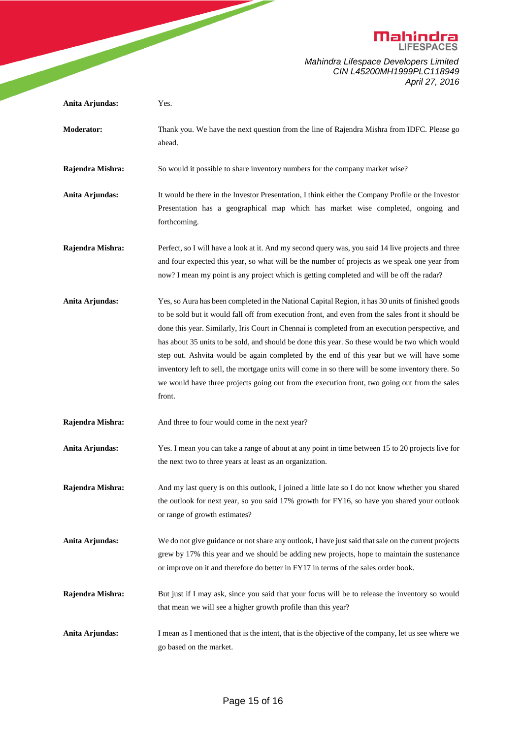

|                   | <b>Mahindra</b>                                                                                                                                                                                                                                                                                                                                                                                                                                                                                                                                                                                                                                                                                                          |
|-------------------|--------------------------------------------------------------------------------------------------------------------------------------------------------------------------------------------------------------------------------------------------------------------------------------------------------------------------------------------------------------------------------------------------------------------------------------------------------------------------------------------------------------------------------------------------------------------------------------------------------------------------------------------------------------------------------------------------------------------------|
|                   | Mahindra Lifespace Developers Limited<br>CIN L45200MH1999PLC118949<br>April 27, 2016                                                                                                                                                                                                                                                                                                                                                                                                                                                                                                                                                                                                                                     |
| Anita Arjundas:   | Yes.                                                                                                                                                                                                                                                                                                                                                                                                                                                                                                                                                                                                                                                                                                                     |
| <b>Moderator:</b> | Thank you. We have the next question from the line of Rajendra Mishra from IDFC. Please go<br>ahead.                                                                                                                                                                                                                                                                                                                                                                                                                                                                                                                                                                                                                     |
| Rajendra Mishra:  | So would it possible to share inventory numbers for the company market wise?                                                                                                                                                                                                                                                                                                                                                                                                                                                                                                                                                                                                                                             |
| Anita Arjundas:   | It would be there in the Investor Presentation, I think either the Company Profile or the Investor<br>Presentation has a geographical map which has market wise completed, ongoing and<br>forthcoming.                                                                                                                                                                                                                                                                                                                                                                                                                                                                                                                   |
| Rajendra Mishra:  | Perfect, so I will have a look at it. And my second query was, you said 14 live projects and three<br>and four expected this year, so what will be the number of projects as we speak one year from<br>now? I mean my point is any project which is getting completed and will be off the radar?                                                                                                                                                                                                                                                                                                                                                                                                                         |
| Anita Arjundas:   | Yes, so Aura has been completed in the National Capital Region, it has 30 units of finished goods<br>to be sold but it would fall off from execution front, and even from the sales front it should be<br>done this year. Similarly, Iris Court in Chennai is completed from an execution perspective, and<br>has about 35 units to be sold, and should be done this year. So these would be two which would<br>step out. Ashvita would be again completed by the end of this year but we will have some<br>inventory left to sell, the mortgage units will come in so there will be some inventory there. So<br>we would have three projects going out from the execution front, two going out from the sales<br>front. |
| Rajendra Mishra:  | And three to four would come in the next year?                                                                                                                                                                                                                                                                                                                                                                                                                                                                                                                                                                                                                                                                           |
| Anita Arjundas:   | Yes. I mean you can take a range of about at any point in time between 15 to 20 projects live for<br>the next two to three years at least as an organization.                                                                                                                                                                                                                                                                                                                                                                                                                                                                                                                                                            |
| Rajendra Mishra:  | And my last query is on this outlook, I joined a little late so I do not know whether you shared<br>the outlook for next year, so you said 17% growth for FY16, so have you shared your outlook<br>or range of growth estimates?                                                                                                                                                                                                                                                                                                                                                                                                                                                                                         |
| Anita Arjundas:   | We do not give guidance or not share any outlook, I have just said that sale on the current projects<br>grew by 17% this year and we should be adding new projects, hope to maintain the sustenance<br>or improve on it and therefore do better in FY17 in terms of the sales order book.                                                                                                                                                                                                                                                                                                                                                                                                                                |
| Rajendra Mishra:  | But just if I may ask, since you said that your focus will be to release the inventory so would<br>that mean we will see a higher growth profile than this year?                                                                                                                                                                                                                                                                                                                                                                                                                                                                                                                                                         |
| Anita Arjundas:   | I mean as I mentioned that is the intent, that is the objective of the company, let us see where we<br>go based on the market.                                                                                                                                                                                                                                                                                                                                                                                                                                                                                                                                                                                           |